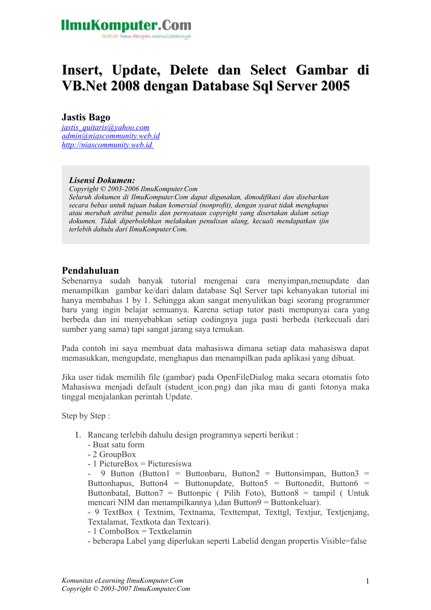ikatlah ilmu dengan menuliskannya

### **Insert, Update, Delete dan Select Gambar di VB.Net 2008 dengan Database Sql Server 2005**

#### **Jastis Bago**

*[jastis\\_quitaris@yahoo.com](mailto:jastis_quitaris@yahoo.com) [admin@niascommunity.web.id](mailto:admin@niascommunity.web.id) [http://niascommunity.web.id](file:///home/supernothing/Documents/Artikel%20IlmuKom/http:%2F%2Fniascommunity.web.id%20)* 

#### *Lisensi Dokumen:*

*Copyright © 2003-2006 IlmuKomputer.Com Seluruh dokumen di IlmuKomputer.Com dapat digunakan, dimodifikasi dan disebarkan secara bebas untuk tujuan bukan komersial (nonprofit), dengan syarat tidak menghapus atau merubah atribut penulis dan pernyataan copyright yang disertakan dalam setiap dokumen. Tidak diperbolehkan melakukan penulisan ulang, kecuali mendapatkan ijin terlebih dahulu dari IlmuKomputer.Com.*

#### **Pendahuluan**

Sebenarnya sudah banyak tutorial mengenai cara menyimpan,menupdate dan menampilkan gambar ke/dari dalam database Sql Server tapi kebanyakan tutorial ini hanya membahas 1 by 1. Sehingga akan sangat menyulitkan bagi seorang programmer baru yang ingin belajar semuanya. Karena setiap tutor pasti mempunyai cara yang berbeda dan ini menyebabkan setiap codingnya juga pasti berbeda (terkecuali dari sumber yang sama) tapi sangat jarang saya temukan.

Pada contoh ini saya membuat data mahasiswa dimana setiap data mahasiswa dapat memasukkan, mengupdate, menghapus dan menampilkan pada aplikasi yang dibuat.

Jika user tidak memilih file (gambar) pada OpenFileDialog maka secara otomatis foto Mahasiswa menjadi default (student\_icon.png) dan jika mau di ganti fotonya maka tinggal menjalankan perintah Update.

Step by Step :

- 1. Rancang terlebih dahulu design programnya seperti berikut :
	- Buat satu form
	- 2 GroupBox
	- 1 PictureBox = Picturesiswa

9 Button (Button1 = Buttonbaru, Button2 = Buttonsimpan, Button3 = Buttonhapus, Button $4 =$  Buttonupdate, Button $5 =$  Buttonedit, Button $6 =$ Buttonbatal, Button7 = Buttonpic ( Pilih Foto), Button8 = tampil ( Untuk mencari NIM dan menampilkannya ),dan Button9 = Buttonkeluar).

- 9 TextBox ( Textnim, Textnama, Texttempat, Texttgl, Textjur, Textjenjang, Textalamat, Textkota dan Textcari).

- 1 ComboBox = Textkelamin

- beberapa Label yang diperlukan seperti Labelid dengan propertis Visible=false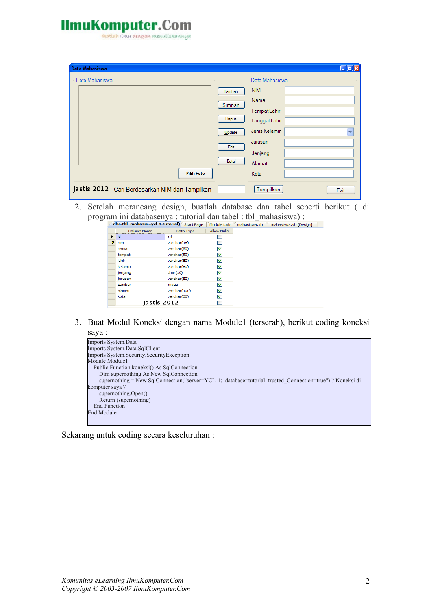Heatlah iimu dengan menuliskannya

| Data Mahasiswa                                 |          | $\Box$ or                                |  |
|------------------------------------------------|----------|------------------------------------------|--|
| Foto Mahasiswa                                 |          | Data Mahasiswa                           |  |
|                                                | Tambah   | <b>NIM</b>                               |  |
|                                                | Simpan   | Nama                                     |  |
|                                                |          | Tempat Lahir                             |  |
|                                                | $H$ apus | Tanggal Lahir                            |  |
|                                                | Update   | Jenis Kelamin<br>$\overline{\mathbf{v}}$ |  |
|                                                | Edit     | Jurusan                                  |  |
|                                                |          | Jenjang                                  |  |
|                                                | Batal    | Alamat                                   |  |
| <b>Pilih Foto</b>                              |          | Kota                                     |  |
| Jastis 2012 Cari Berdasarkan NIM dan Tampilkan |          | Tampilkan<br>Exit                        |  |

2. Setelah merancang design, buatlah database dan tabel seperti berikut ( di program ini databasenya : tutorial dan tabel : tbl\_mahasiswa) :<br>
dbo.tbl\_mahasis...ycl-1.tutorial) Start Page Module1.vb | mahasiswa.vb | mahasiswa.vb [Design]

|   | upo.com_manasisycr-1.cuconary Start Page |              | Module 1.VD        |
|---|------------------------------------------|--------------|--------------------|
|   | Column Name                              | Data Type    | <b>Allow Nulls</b> |
| ▶ | id                                       | int          |                    |
| Ÿ | nim                                      | varchar(15)  |                    |
|   | nama                                     | varchar(50)  | 罓                  |
|   | tempat                                   | varchar(50)  | 罓                  |
|   | lahir                                    | varchar(50)  | 罓                  |
|   | kelamin                                  | varchar(50)  | 罓                  |
|   | jenjang                                  | char(10)     | 罓                  |
|   | jurusan                                  | varchar(50)  | ☑                  |
|   | gambar                                   | image        | 罓                  |
|   | alamat                                   | varchar(100) | 罓                  |
|   | kota                                     | varchar(50)  | ◛                  |
|   | Jastis 2012                              |              |                    |

3. Buat Modul Koneksi dengan nama Module1 (terserah), berikut coding koneksi saya :



Sekarang untuk coding secara keseluruhan :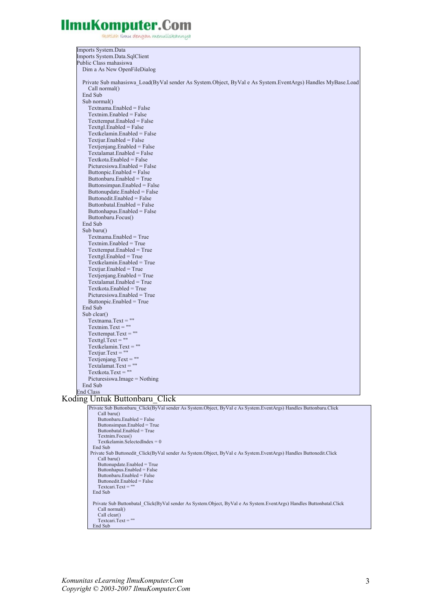reatlah iimu dengan menuliskannya

| Imports System.Data                                                                                               |
|-------------------------------------------------------------------------------------------------------------------|
| Imports System.Data.SqlClient                                                                                     |
| Public Class mahasiswa                                                                                            |
|                                                                                                                   |
| Dim a As New OpenFileDialog                                                                                       |
|                                                                                                                   |
| Private Sub mahasiswa Load(ByVal sender As System.Object, ByVal e As System.EventArgs) Handles MyBase.Load        |
|                                                                                                                   |
| Call normal()                                                                                                     |
| End Sub                                                                                                           |
| Sub normal()                                                                                                      |
| Textnama.Enabled = False                                                                                          |
|                                                                                                                   |
| $Textnim. Enabeled = False$                                                                                       |
| Texttempat.Enabled = False                                                                                        |
| $Texttgl.Enabeled = False$                                                                                        |
|                                                                                                                   |
| Textkelamin.Enabled = False                                                                                       |
| $Textjur.Enabeled = False$                                                                                        |
| $Textienjang. Enabeled = False$                                                                                   |
| Textalamat.Enabled = False                                                                                        |
|                                                                                                                   |
| Textkota.Enabled = False                                                                                          |
| Picturesiswa.Enabled = False                                                                                      |
| Buttonpic.Enabled = False                                                                                         |
|                                                                                                                   |
| Buttonbaru.Enabled = True                                                                                         |
| Buttonsimpan.Enabled = False                                                                                      |
| Buttonupdate.Enabled = False                                                                                      |
| Buttonedit.Enabled = False                                                                                        |
|                                                                                                                   |
| Buttonbatal.Enabled = False                                                                                       |
| Buttonhapus.Enabled = False                                                                                       |
| Buttonbaru.Focus()                                                                                                |
| End Sub                                                                                                           |
|                                                                                                                   |
| Sub baru $()$                                                                                                     |
| $Textnama. Enabled = True$                                                                                        |
| $Textnim. Enabled = True$                                                                                         |
| Texttempat.Enabled = True                                                                                         |
|                                                                                                                   |
| $Texttgl. Enabled = True$                                                                                         |
| $Textkelamin. Enabled = True$                                                                                     |
| $Textjur.Enabeled = True$                                                                                         |
| $Textienjang. Enabeled = True$                                                                                    |
|                                                                                                                   |
| $Textalamat. Enabled = True$                                                                                      |
| Textkota.Enabled = True                                                                                           |
| $Picturesiswa.Enabeled = True$                                                                                    |
| Buttonpic.Enabled = True                                                                                          |
|                                                                                                                   |
| End Sub                                                                                                           |
| Sub clear()                                                                                                       |
| $Textnama.Text = ""$                                                                                              |
| $Textnim.Text = ""$                                                                                               |
|                                                                                                                   |
| Texttempat.Text = $""$                                                                                            |
| $Texttel.Text = ""$                                                                                               |
| Textkelamin. Text $=$ ""                                                                                          |
| Textjur.Text = $""$                                                                                               |
|                                                                                                                   |
| Textjenjang. $Text = ""$                                                                                          |
| $Textalamat.Text = ""$                                                                                            |
| Textkota.Text = ""                                                                                                |
| Picturesiswa.Image = Nothing                                                                                      |
|                                                                                                                   |
| End Sub                                                                                                           |
| End Class                                                                                                         |
| Koding Untuk Buttonbaru Click                                                                                     |
|                                                                                                                   |
| Private Sub Buttonbaru Click(ByVal sender As System.Object, ByVal e As System.EventArgs) Handles Buttonbaru.Click |
| Call baru $()$                                                                                                    |
| Buttonbaru.Enabled = False                                                                                        |
| Buttonsimpan.Enabled = True                                                                                       |
| Buttonbatal.Enabled = True                                                                                        |
| Textnim.Focus()                                                                                                   |
|                                                                                                                   |
| Textkelamin.SelectedIndex = $0$                                                                                   |
| End Sub                                                                                                           |
| Private Sub Buttonedit Click(ByVal sender As System.Object, ByVal e As System.EventArgs) Handles Buttonedit.Click |
| Call baru()                                                                                                       |
| Buttonupdate.Enabled = True                                                                                       |
| Buttonhapus.Enabled = False                                                                                       |
| Buttonbaru. Enabled = False                                                                                       |
| Buttonedit.Enabled = False                                                                                        |
| $Textcari.Text = ""$                                                                                              |
|                                                                                                                   |

End Sub

Private Sub Buttonbatal\_Click(ByVal sender As System.Object, ByVal e As System.EventArgs) Handles Buttonbatal.Click<br>Call normal()<br>Call clear()<br>Textcari.Text = ""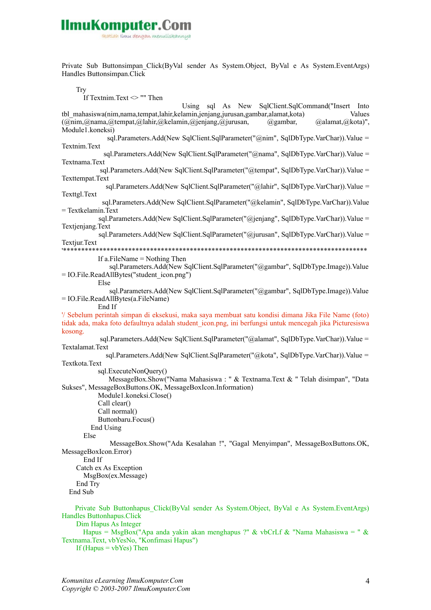ikatlah ilmu dengan menuliskannya

Private Sub Buttonsimpan\_Click(ByVal sender As System.Object, ByVal e As System.EventArgs) Handles Buttonsimpan.Click

Try

If Textnim.Text <> "" Then

 Using sql As New SqlClient.SqlCommand("Insert Into tbl\_mahasiswa(nim,nama,tempat,lahir,kelamin,jenjang,jurusan,gambar,alamat,kota) Values (@nim,@nama,@tempat,@lahir,@kelamin,@jenjang,@jurusan, @gambar, @alamat,@kota)", Module1.koneksi) sql.Parameters.Add(New SqlClient.SqlParameter("@nim", SqlDbType.VarChar)).Value = Textnim.Text sql.Parameters.Add(New SqlClient.SqlParameter("@nama", SqlDbType.VarChar)).Value = Textnama.Text sql.Parameters.Add(New SqlClient.SqlParameter("@tempat", SqlDbType.VarChar)).Value = Texttempat.Text sql.Parameters.Add(New SqlClient.SqlParameter("@lahir", SqlDbType.VarChar)).Value = Texttgl.Text sql.Parameters.Add(New SqlClient.SqlParameter("@kelamin", SqlDbType.VarChar)).Value = Textkelamin.Text sql.Parameters.Add(New SqlClient.SqlParameter("@jenjang", SqlDbType.VarChar)).Value = Textieniang.Text sql.Parameters.Add(New SqlClient.SqlParameter("@jurusan", SqlDbType.VarChar)).Value = Textjur.Text '\*\*\*\*\*\*\*\*\*\*\*\*\*\*\*\*\*\*\*\*\*\*\*\*\*\*\*\*\*\*\*\*\*\*\*\*\*\*\*\*\*\*\*\*\*\*\*\*\*\*\*\*\*\*\*\*\*\*\*\*\*\*\*\*\*\*\*\*\*\*\*\*\*\*\*\*\*\*\*\*\*\*\*\* If a.FileName = Nothing Then sql.Parameters.Add(New SqlClient.SqlParameter("@gambar", SqlDbType.Image)).Value = IO.File.ReadAllBytes("student\_icon.png") Else sql.Parameters.Add(New SqlClient.SqlParameter("@gambar", SqlDbType.Image)).Value = IO.File.ReadAllBytes(a.FileName) End If '/ Sebelum perintah simpan di eksekusi, maka saya membuat satu kondisi dimana Jika File Name (foto) tidak ada, maka foto defaultnya adalah student\_icon.png, ini berfungsi untuk mencegah jika Picturesiswa kosong. sql.Parameters.Add(New SqlClient.SqlParameter("@alamat", SqlDbType.VarChar)).Value = Textalamat.Text sql.Parameters.Add(New SqlClient.SqlParameter("@kota", SqlDbType.VarChar)).Value = Textkota.Text sql.ExecuteNonQuery() MessageBox.Show("Nama Mahasiswa : " & Textnama.Text & " Telah disimpan", "Data Sukses", MessageBoxButtons.OK, MessageBoxIcon.Information) Module1.koneksi.Close() Call clear() Call normal() Buttonbaru.Focus() End Using Else MessageBox.Show("Ada Kesalahan !", "Gagal Menyimpan", MessageBoxButtons.OK, MessageBoxIcon.Error) End If Catch ex As Exception MsgBox(ex.Message) End Try End Sub Private Sub Buttonhapus\_Click(ByVal sender As System.Object, ByVal e As System.EventArgs) Handles Buttonhapus.Click Dim Hapus As Integer Hapus = MsgBox("Apa anda yakin akan menghapus ?" & vbCrLf & "Nama Mahasiswa = " & Textnama.Text, vbYesNo, "Konfimasi Hapus")

If (Hapus  $=$  vbYes) Then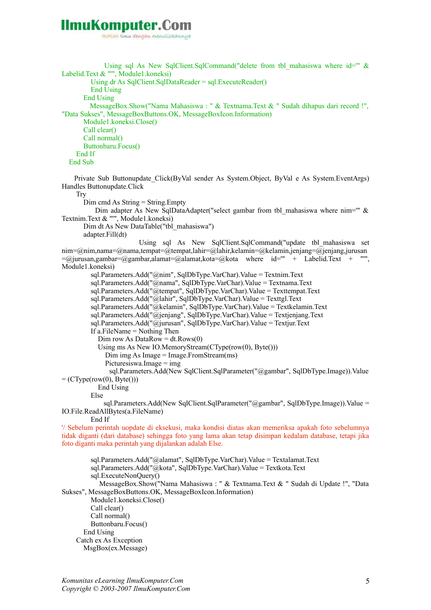ikatlah ilmu dengan menuliskannya

Using sql As New SqlClient.SqlCommand("delete from tbl mahasiswa where id=""  $\&$ Labelid.Text & "", Module1.koneksi) Using dr As SqlClient.SqlDataReader = sql.ExecuteReader() End Using End Using MessageBox.Show("Nama Mahasiswa : " & Textnama.Text & " Sudah dihapus dari record !", "Data Sukses", MessageBoxButtons.OK, MessageBoxIcon.Information) Module1.koneksi.Close() Call clear() Call normal() Buttonbaru.Focus() End If End Sub Private Sub Buttonupdate\_Click(ByVal sender As System.Object, ByVal e As System.EventArgs) Handles Buttonupdate.Click Try Dim cmd As String = String.Empty Dim adapter As New SqlDataAdapter("select gambar from tbl\_mahasiswa where nim=""  $\&$ Textnim.Text & "'", Module1.koneksi) Dim dt As New DataTable("tbl\_mahasiswa") adapter.Fill(dt) Using sql As New SqlClient.SqlCommand("update tbl\_mahasiswa set nim=@nim,nama=@nama,tempat=@tempat,lahir=@lahir,kelamin=@kelamin,jenjang=@jenjang,jurusan  $=$   $\omega$ jurusan, gambar=  $\omega$ gambar, alamat=  $\omega$ alamat, kota=  $\omega$ kota where id=" + Labelid. Text + "", Module1 koneksi) sql.Parameters.Add("@nim", SqlDbType.VarChar).Value = Textnim.Text sql.Parameters.Add("@nama", SqlDbType.VarChar).Value = Textnama.Text sql.Parameters.Add("@tempat", SqlDbType.VarChar).Value = Texttempat.Text sql.Parameters.Add("@lahir", SqlDbType.VarChar).Value = Texttgl.Text sql.Parameters.Add("@kelamin", SqlDbType.VarChar).Value = Textkelamin.Text  $sd$ . Parameters. Add("@ieniang", SqlDbType. VarChar). Value = Textieniang. Text sql.Parameters.Add( $\overline{\omega}$ jurusan", SqlDbType.VarChar).Value = Textjur.Text If a.FileName = Nothing Then Dim row As DataRow =  $dt$ .Rows $(0)$  Using ms As New IO.MemoryStream(CType(row(0), Byte())) Dim img As Image = Image.FromStream(ms) Picturesiswa.Image  $=$  img sql.Parameters.Add(New SqlClient.SqlParameter("@gambar", SqlDbType.Image)).Value  $=$  (CType(row(0), Byte())) End Using Else sql.Parameters.Add(New SqlClient.SqlParameter("@gambar", SqlDbType.Image)).Value = IO.File.ReadAllBytes(a.FileName) End If '/ Sebelum perintah uopdate di eksekusi, maka kondisi diatas akan memeriksa apakah foto sebelumnya tidak diganti (dari database) sehingga foto yang lama akan tetap disimpan kedalam database, tetapi jika foto diganti maka perintah yang dijalankan adalah Else. sql.Parameters.Add("@alamat", SqlDbType.VarChar).Value = Textalamat.Text sql.Parameters.Add("@kota", SqlDbType.VarChar).Value = Textkota.Text sql.ExecuteNonQuery() MessageBox.Show("Nama Mahasiswa : " & Textnama.Text & " Sudah di Update !", "Data Sukses", MessageBoxButtons.OK, MessageBoxIcon.Information) Module1.koneksi.Close() Call clear() Call normal() Buttonbaru.Focus() End Using

Catch ex As Exception

MsgBox(ex.Message)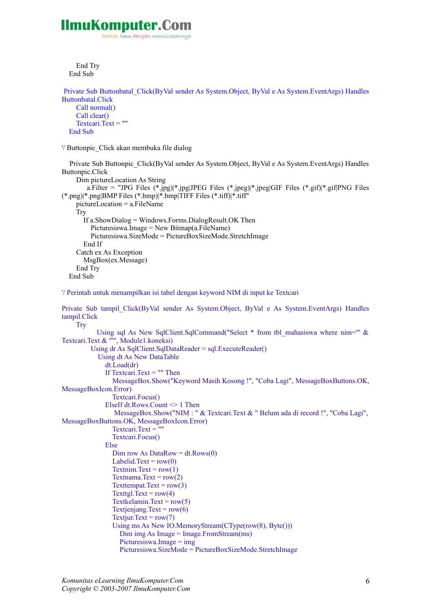

ikatlah ilmu dengan menuliskannya

 End Try End Sub

```
 Private Sub Buttonbatal_Click(ByVal sender As System.Object, ByVal e As System.EventArgs) Handles
Buttonbatal.Click
     Call normal()
     Call clear()
    Textcari.Text = " End Sub
'/ Buttonpic_Click akan membuka file dialog
```

```
 Private Sub Buttonpic_Click(ByVal sender As System.Object, ByVal e As System.EventArgs) Handles
Buttonpic.Click
     Dim pictureLocation As String
        a.Filter = "JPG Files (*.ipg<sup>*</sup>.jpg|JPEG Files (*.ipeg)<sup>*</sup>.jpeg|GIF Files (*.gif)<sup>*</sup>.gif|PNG Files
(*.png)|*.png|BMP Files (*.bmp)|*.bmp|TIFF Files (*.tiff)|*.tiff"
     pictureLocation = a.FileName
     Try
        If a.ShowDialog = Windows.Forms.DialogResult.OK Then
           Picturesiswa.Image = New Bitmap(a.FileName)
           Picturesiswa.SizeMode = PictureBoxSizeMode.StretchImage
        End If
      Catch ex As Exception
        MsgBox(ex.Message)
      End Try
```

```
 End Sub
```
'/ Perintah untuk menampilkan isi tabel dengan keyword NIM di input ke Textcari

Private Sub tampil\_Click(ByVal sender As System.Object, ByVal e As System.EventArgs) Handles tampil.Click

```
Try
           Using sql As New SqlClient.SqlCommand("Select * from tbl mahasiswa where nim="" &
Textcari.Text & "'", Module1.koneksi)
          Using dr As SqlClient.SqlDataReader = sql.ExecuteReader()
            Using dt As New DataTable
              dt.Load(dr)
              If Textcari.Text = "" Then
                MessageBox.Show("Keyword Masih Kosong !", "Coba Lagi", MessageBoxButtons.OK,
MessageBoxIcon.Error)
                Textcari.Focus()
             ElseIf dt.Rows.Count \leq 1 Then
                MessageBox.Show("NIM : " & Textcari.Text & " Belum ada di record !", "Coba Lagi",
MessageBoxButtons.OK, MessageBoxIcon.Error)
               Textcari.Text = ""
                Textcari.Focus()
              Else
               Dim row As DataRow = dt.Rows(0)
               Labelid.Text = row(0)Textnim.Text = row(1)Textnama.Text = row(2)Textempat.Text = row(3)Texttgl.Text = row(4)Textkelamin.Text = row(5)Textjenjang.Text = row(6)Textjur.Text = row(7) Using ms As New IO.MemoryStream(CType(row(8), Byte()))
                  Dim img As Image = Image.FromStream(ms)
                   Picturesiswa.Image = img
                   Picturesiswa.SizeMode = PictureBoxSizeMode.StretchImage
```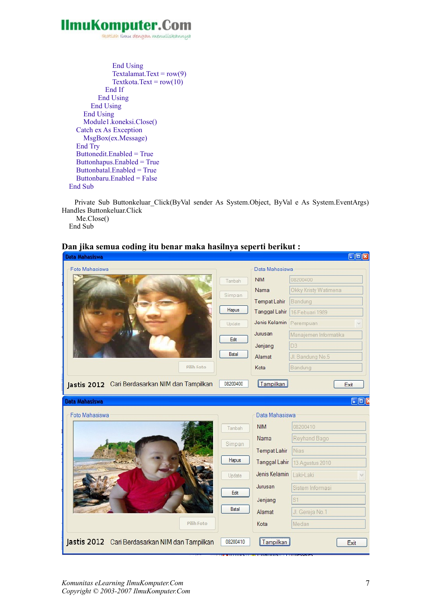ikatlah iimu dengan menuliskannya

```
 End Using
              Textalamat.Text = row(9)Textkota.Text = row(10) End If
          End Using
        End Using
     End Using
     Module1.koneksi.Close()
   Catch ex As Exception
     MsgBox(ex.Message)
   End Try
   Buttonedit.Enabled = True
   Buttonhapus.Enabled = True
   Buttonbatal.Enabled = True
   Buttonbaru.Enabled = False
 End Sub
```
Private Sub Buttonkeluar Click(ByVal sender As System.Object, ByVal e As System.EventArgs) Handles Buttonkeluar.Click Me.Close()

End Sub



#### **Dan jika semua coding itu benar maka hasilnya seperti berikut :**